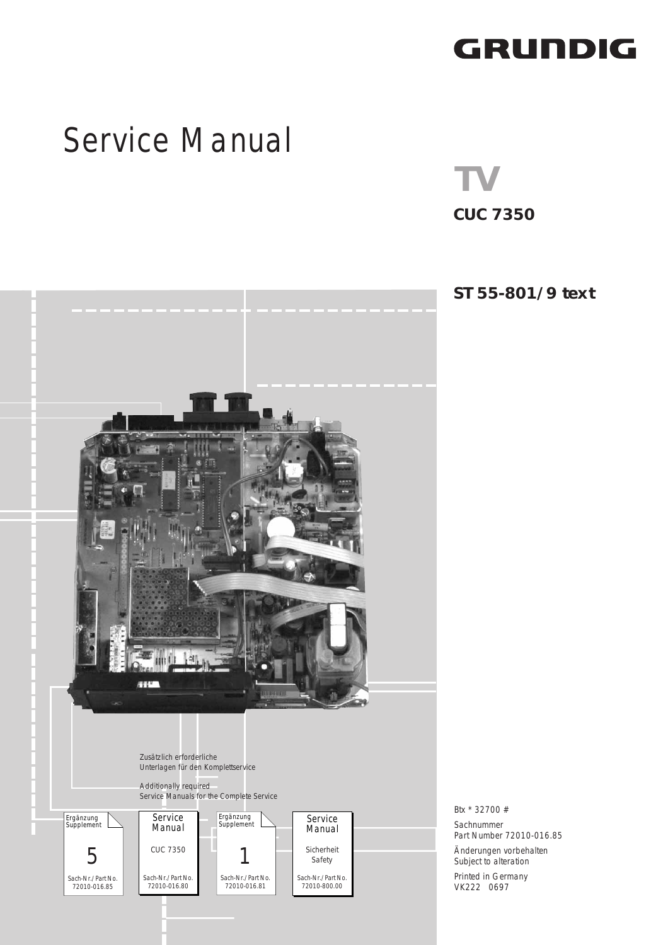## GRUNDIG

# [Service Manual](#page-1-0)

**CUC 7350 TV**



72010-016.85

**ST 55-801/9 text**

Btx \* 32700 # Sachnummer Part Number 72010-016.85 Änderungen vorbehalten Subject to alteration Printed in Germany VK222 0697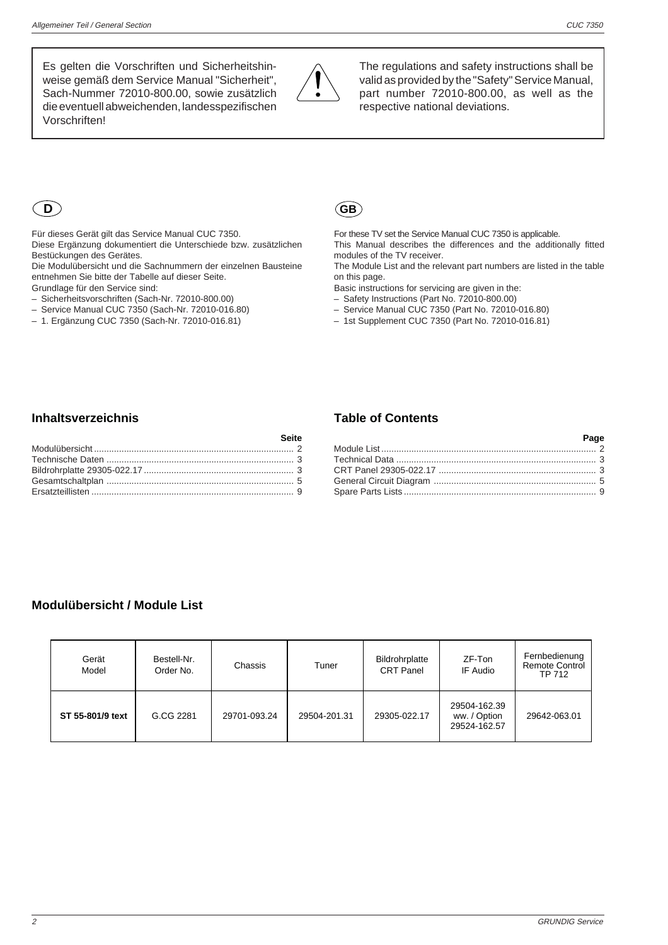<span id="page-1-0"></span>Es gelten die Vorschriften und Sicherheitshinweise gemäß dem Service Manual "Sicherheit", Sach-Nummer 72010-800.00, sowie zusätzlich die eventuell abweichenden, landesspezifischen Vorschriften!



The regulations and safety instructions shall be valid as provided by the "Safety" Service Manual, part number 72010-800.00, as well as the respective national deviations.



Für dieses Gerät gilt das Service Manual CUC 7350.

Diese Ergänzung dokumentiert die Unterschiede bzw. zusätzlichen Bestückungen des Gerätes.

Die Modulübersicht und die Sachnummern der einzelnen Bausteine entnehmen Sie bitte der Tabelle auf dieser Seite.

Grundlage für den Service sind:

- Sicherheitsvorschriften (Sach-Nr. 72010-800.00)
- Service Manual CUC 7350 (Sach-Nr. 72010-016.80) – 1. Ergänzung CUC 7350 (Sach-Nr. 72010-016.81)



For these TV set the Service Manual CUC 7350 is applicable. This Manual describes the differences and the additionally fitted

modules of the TV receiver.

The Module List and the relevant part numbers are listed in the table on this page.

Basic instructions for servicing are given in the:

- Safety Instructions (Part No. 72010-800.00)
- Service Manual CUC 7350 (Part No. 72010-016.80)
- 1st Supplement CUC 7350 (Part No. 72010-016.81)

#### **Inhaltsverzeichnis**

#### **Table of Contents**

| <b>Example 2</b> Page |  |
|-----------------------|--|
|                       |  |
|                       |  |
|                       |  |
|                       |  |
|                       |  |

#### **Modulübersicht / Module List**

| Gerät<br>Model   | Bestell-Nr.<br>Order No. | Chassis      | Tuner        | Bildrohrplatte<br><b>CRT Panel</b> | ZF-Ton<br>IF Audio                           | Fernbedienung<br><b>Remote Control</b><br>TP 712 |  |  |  |
|------------------|--------------------------|--------------|--------------|------------------------------------|----------------------------------------------|--------------------------------------------------|--|--|--|
| ST 55-801/9 text | G.CG 2281                | 29701-093.24 | 29504-201.31 | 29305-022.17                       | 29504-162.39<br>ww. / Option<br>29524-162.57 | 29642-063.01                                     |  |  |  |

**Seite**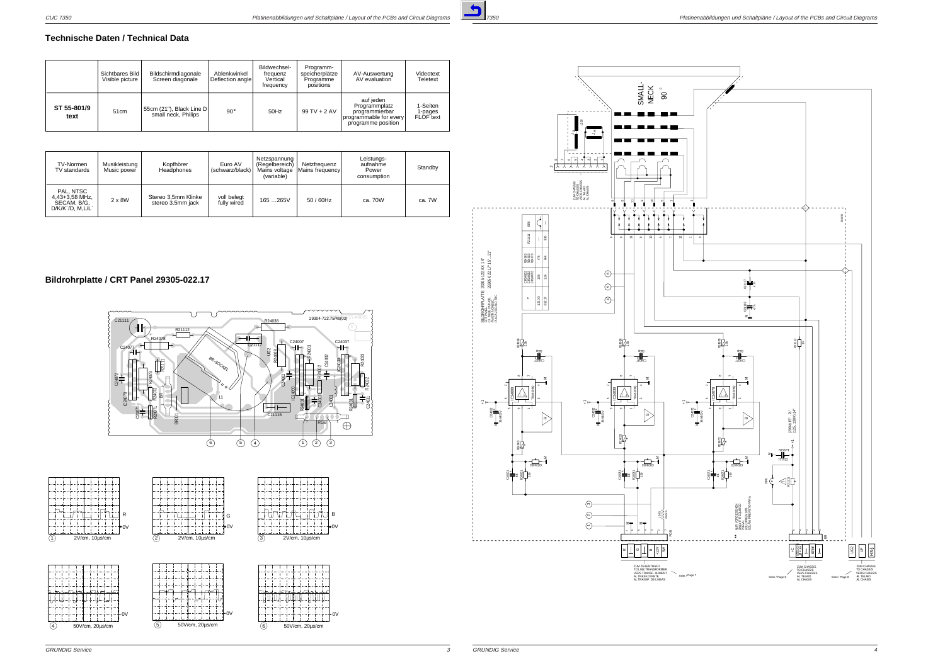

### **Bildrohrplatte / CRT Panel 29305-022.17**







#### <span id="page-2-0"></span>**Technische Daten / Technical Data**

|                     | Sichtbares Bild<br>Visible picture | Bildschirmdiagonale<br>Screen diagonale         | Ablenkwinkel<br>Deflection angle | Bildwechsel-<br>frequenz<br>Vertical<br>frequency | Programm-<br>speicherplätze<br>Programme<br>positions | AV-Auswertung<br>AV evaluation                                                               | Videotext<br>Teletext            |
|---------------------|------------------------------------|-------------------------------------------------|----------------------------------|---------------------------------------------------|-------------------------------------------------------|----------------------------------------------------------------------------------------------|----------------------------------|
| ST 55-801/9<br>text | 51cm                               | 55cm (21"), Black Line D<br>small neck, Philips | $90^\circ$                       | 50Hz                                              | $99$ TV + 2 AV                                        | auf jeden<br>Programmplatz<br>programmierbar<br>programmable for every<br>programme position | 1-Seiten<br>1-pages<br>FLOF text |

| TV-Normen<br>TV standards                                          | Musikleistung<br>Music power | Kopfhörer<br>Headphones                  | Euro AV<br>(schwarz/black) | Netzspannung<br>(Regelbereich)<br>Mains voltage<br>(variable) | Netzfrequenz<br>Mains frequencyl | Leistungs-<br>aufnahme<br>Power<br>consumption | Standby |
|--------------------------------------------------------------------|------------------------------|------------------------------------------|----------------------------|---------------------------------------------------------------|----------------------------------|------------------------------------------------|---------|
| PAL. NTSC<br>4,43+3,58 MHz,<br>SECAM, B/G,<br>$D/K/K'D$ , $M,L/L'$ | $2 \times 8W$                | Stereo 3,5mm Klinke<br>stereo 3.5mm jack | voll belegt<br>fully wired | 165265V                                                       | $50/60$ Hz                       | ca. 70W                                        | ca. 7W  |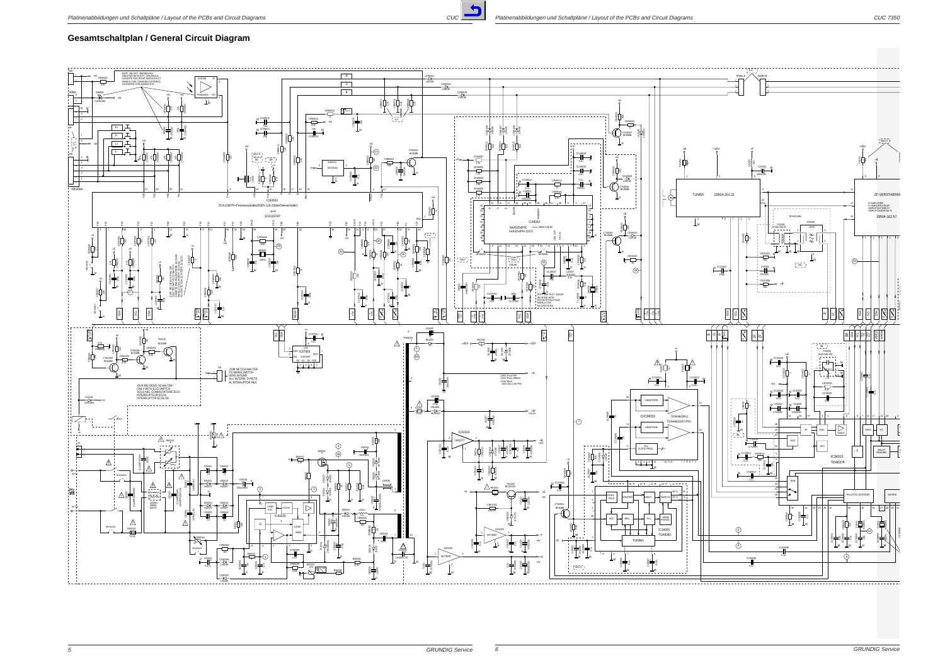![](_page_3_Picture_1.jpeg)

#### **Gesamtschaltplan / General Circuit Diagram**

<span id="page-3-0"></span>![](_page_3_Figure_4.jpeg)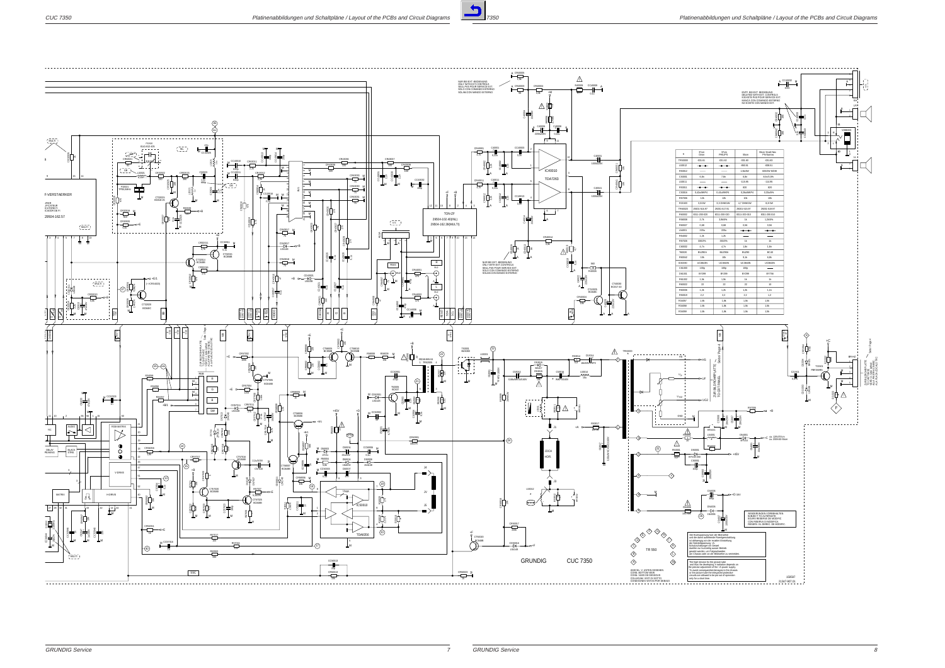![](_page_4_Picture_2.jpeg)

![](_page_4_Figure_4.jpeg)